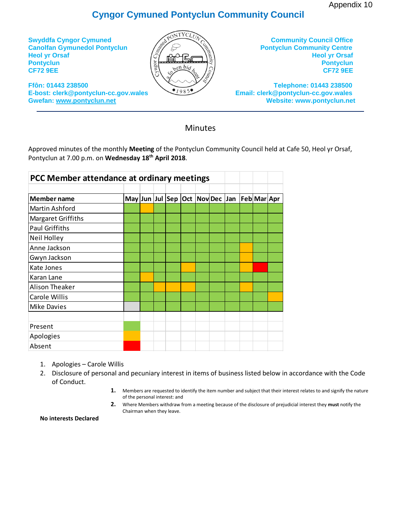Appendix 10

## **Cyngor Cymuned Pontyclun Community Council**



**Minutes** 

Approved minutes of the monthly **Meeting** of the Pontyclun Community Council held at Cafe 50, Heol yr Orsaf, Pontyclun at 7.00 p.m. on **Wednesday 18 th April 2018**.

|                       | PCC Member attendance at ordinary meetings |  |  |  |  |  |  |  |                                             |  |
|-----------------------|--------------------------------------------|--|--|--|--|--|--|--|---------------------------------------------|--|
| <b>Member name</b>    |                                            |  |  |  |  |  |  |  | May Jun Jul Sep Oct Nov Dec Jan Feb Mar Apr |  |
| Martin Ashford        |                                            |  |  |  |  |  |  |  |                                             |  |
| Margaret Griffiths    |                                            |  |  |  |  |  |  |  |                                             |  |
| <b>Paul Griffiths</b> |                                            |  |  |  |  |  |  |  |                                             |  |
| Neil Holley           |                                            |  |  |  |  |  |  |  |                                             |  |
| Anne Jackson          |                                            |  |  |  |  |  |  |  |                                             |  |
| Gwyn Jackson          |                                            |  |  |  |  |  |  |  |                                             |  |
| Kate Jones            |                                            |  |  |  |  |  |  |  |                                             |  |
| Karan Lane            |                                            |  |  |  |  |  |  |  |                                             |  |
| Alison Theaker        |                                            |  |  |  |  |  |  |  |                                             |  |
| <b>Carole Willis</b>  |                                            |  |  |  |  |  |  |  |                                             |  |
| Mike Davies           |                                            |  |  |  |  |  |  |  |                                             |  |
|                       |                                            |  |  |  |  |  |  |  |                                             |  |
| Present               |                                            |  |  |  |  |  |  |  |                                             |  |
| Apologies             |                                            |  |  |  |  |  |  |  |                                             |  |
| Absent                |                                            |  |  |  |  |  |  |  |                                             |  |

- 1. Apologies Carole Willis
- 2. Disclosure of personal and pecuniary interest in items of business listed below in accordance with the Code of Conduct.
	- **1.** Members are requested to identify the item number and subject that their interest relates to and signify the nature of the personal interest: and
	- **2.** Where Members withdraw from a meeting because of the disclosure of prejudicial interest they **must** notify the Chairman when they leave.

**No interests Declared**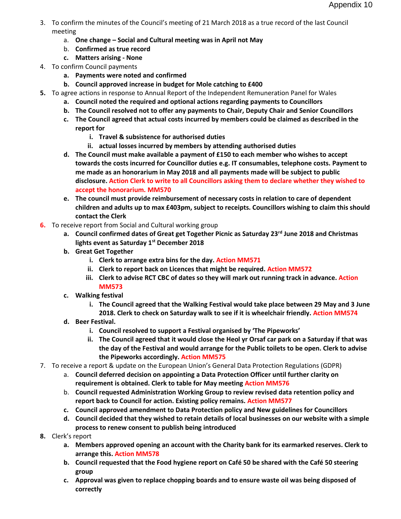- 3. To confirm the minutes of the Council's meeting of 21 March 2018 as a true record of the last Council meeting
	- a. **One change – Social and Cultural meeting was in April not May**
	- b. **Confirmed as true record**
	- **c. Matters arising - None**
- 4. To confirm Council payments
	- **a. Payments were noted and confirmed**
	- **b. Council approved increase in budget for Mole catching to £400**
- **5.** To agree actions in response to Annual Report of the Independent Remuneration Panel for Wales
	- **a. Council noted the required and optional actions regarding payments to Councillors**
	- **b. The Council resolved not to offer any payments to Chair, Deputy Chair and Senior Councillors**
	- **c. The Council agreed that actual costs incurred by members could be claimed as described in the report for** 
		- **i. Travel & subsistence for authorised duties**
		- **ii. actual losses incurred by members by attending authorised duties**
	- **d. The Council must make available a payment of £150 to each member who wishes to accept towards the costs incurred for Councillor duties e.g. IT consumables, telephone costs. Payment to me made as an honorarium in May 2018 and all payments made will be subject to public disclosure. Action Clerk to write to all Councillors asking them to declare whether they wished to accept the honorarium. MM570**
	- **e. The council must provide reimbursement of necessary costs in relation to care of dependent children and adults up to max £403pm, subject to receipts. Councillors wishing to claim this should contact the Clerk**
- **6.** To receive report from Social and Cultural working group
	- **a. Council confirmed dates of Great get Together Picnic as Saturday 23rd June 2018 and Christmas lights event as Saturday 1st December 2018**
	- **b. Great Get Together**
		- **i. Clerk to arrange extra bins for the day. Action MM571**
		- **ii. Clerk to report back on Licences that might be required. Action MM572**
		- **iii. Clerk to advise RCT CBC of dates so they will mark out running track in advance. Action MM573**
	- **c. Walking festival**
		- **i. The Council agreed that the Walking Festival would take place between 29 May and 3 June 2018. Clerk to check on Saturday walk to see if it is wheelchair friendly. Action MM574**
	- **d. Beer Festival.**
		- **i. Council resolved to support a Festival organised by 'The Pipeworks'**
		- **ii. The Council agreed that it would close the Heol yr Orsaf car park on a Saturday if that was the day of the Festival and would arrange for the Public toilets to be open. Clerk to advise the Pipeworks accordingly. Action MM575**
- 7. To receive a report & update on the European Union's General Data Protection Regulations (GDPR)
	- a. **Council deferred decision on appointing a Data Protection Officer until further clarity on requirement is obtained. Clerk to table for May meeting Action MM576**
	- b. **Council requested Administration Working Group to review revised data retention policy and report back to Council for action. Existing policy remains. Action MM577**
	- **c. Council approved amendment to Data Protection policy and New guidelines for Councillors**
	- **d. Council decided that they wished to retain details of local businesses on our website with a simple process to renew consent to publish being introduced**
- **8.** Clerk's report
	- **a. Members approved opening an account with the Charity bank for its earmarked reserves. Clerk to arrange this. Action MM578**
	- **b. Council requested that the Food hygiene report on Café 50 be shared with the Café 50 steering group**
	- **c. Approval was given to replace chopping boards and to ensure waste oil was being disposed of correctly**